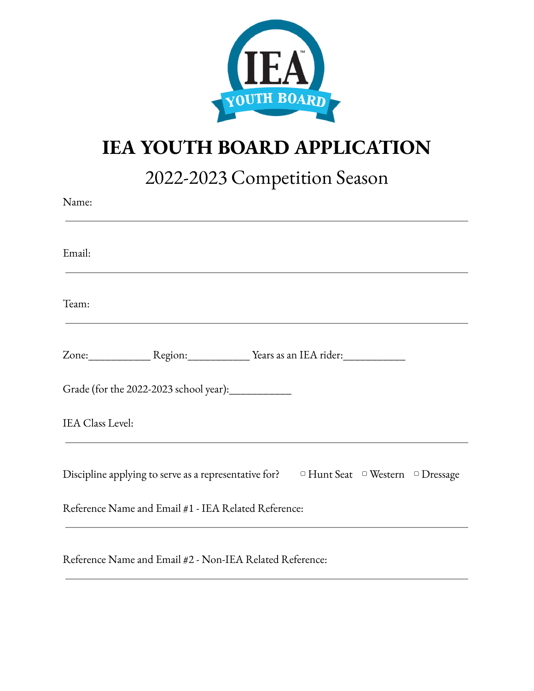

## **IEA YOUTH BOARD APPLICATION**

2022-2023 Competition Season

| Name:                                                                                                                                                                                                                                                                                            |
|--------------------------------------------------------------------------------------------------------------------------------------------------------------------------------------------------------------------------------------------------------------------------------------------------|
| Email:                                                                                                                                                                                                                                                                                           |
| Team:                                                                                                                                                                                                                                                                                            |
|                                                                                                                                                                                                                                                                                                  |
| Grade (for the 2022-2023 school year): ____________                                                                                                                                                                                                                                              |
| IEA Class Level:                                                                                                                                                                                                                                                                                 |
| Discipline applying to serve as a representative for?<br>$\Box$ Hunt Seat $\Box$ Western $\Box$ Dressage                                                                                                                                                                                         |
| Reference Name and Email #1 - IEA Related Reference:                                                                                                                                                                                                                                             |
| $\mathbf{y}$ and $\mathbf{y}$ are $\mathbf{y}$ and $\mathbf{y}$ are $\mathbf{y}$ and $\mathbf{y}$ are $\mathbf{y}$ and $\mathbf{y}$ are $\mathbf{y}$ and $\mathbf{y}$ are $\mathbf{y}$ and $\mathbf{y}$ are $\mathbf{y}$ and $\mathbf{y}$ are $\mathbf{y}$ and $\mathbf{y}$ are $\mathbf{y}$ and |

Reference Name and Email #2 - Non-IEA Related Reference: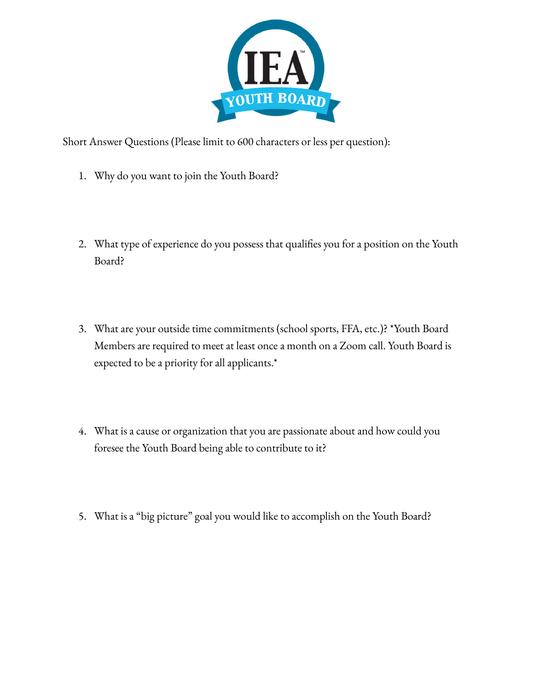

Short Answer Questions (Please limit to 600 characters or less per question):

- 1. Why do you want to join the Youth Board?
- 2. What type of experience do you possess that qualifies you for a position on the Youth Board?
- 3. What are your outside time commitments (school sports, FFA, etc.)? \*Youth Board Members are required to meet at least once a month on a Zoom call. Youth Board is expected to be a priority for all applicants.\*
- 4. What is a cause or organization that you are passionate about and how could you foresee the Youth Board being able to contribute to it?
- 5. What is a "big picture" goal you would like to accomplish on the Youth Board?